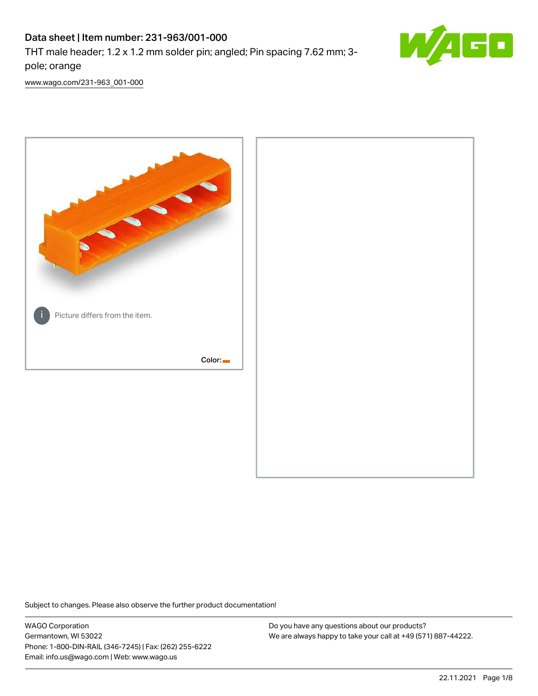# Data sheet | Item number: 231-963/001-000

THT male header; 1.2 x 1.2 mm solder pin; angled; Pin spacing 7.62 mm; 3 pole; orange



[www.wago.com/231-963\\_001-000](http://www.wago.com/231-963_001-000)



Subject to changes. Please also observe the further product documentation!

WAGO Corporation Germantown, WI 53022 Phone: 1-800-DIN-RAIL (346-7245) | Fax: (262) 255-6222 Email: info.us@wago.com | Web: www.wago.us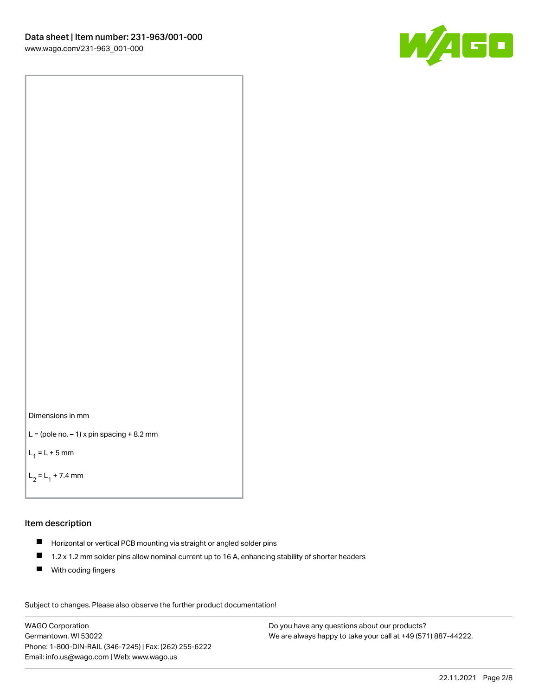



```
L = (pole no. -1) x pin spacing +8.2 mm
```
 $L_1 = L + 5$  mm

```
L_2 = L_1 + 7.4 mm
```
### Item description

- Horizontal or vertical PCB mounting via straight or angled solder pins
- $\blacksquare$ 1.2 x 1.2 mm solder pins allow nominal current up to 16 A, enhancing stability of shorter headers
- **With coding fingers**

Subject to changes. Please also observe the further product documentation! Data

WAGO Corporation Germantown, WI 53022 Phone: 1-800-DIN-RAIL (346-7245) | Fax: (262) 255-6222 Email: info.us@wago.com | Web: www.wago.us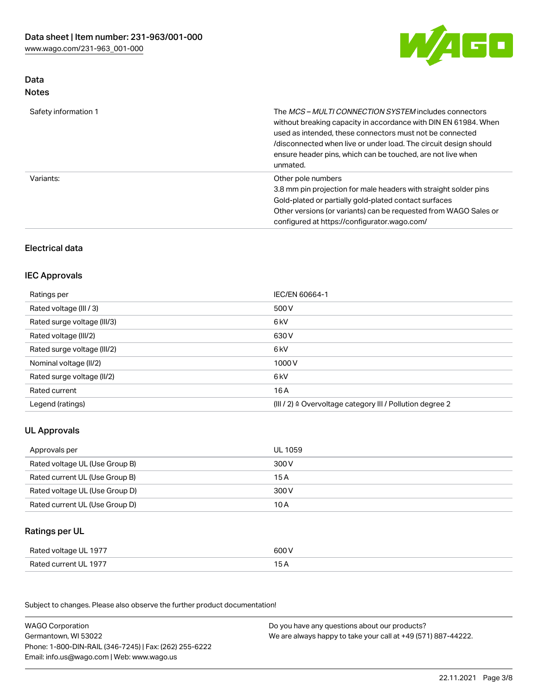

## Data Notes

| Safety information 1 | The <i>MCS – MULTI CONNECTION SYSTEM</i> includes connectors<br>without breaking capacity in accordance with DIN EN 61984. When<br>used as intended, these connectors must not be connected<br>/disconnected when live or under load. The circuit design should<br>ensure header pins, which can be touched, are not live when<br>unmated. |
|----------------------|--------------------------------------------------------------------------------------------------------------------------------------------------------------------------------------------------------------------------------------------------------------------------------------------------------------------------------------------|
| Variants:            | Other pole numbers<br>3.8 mm pin projection for male headers with straight solder pins<br>Gold-plated or partially gold-plated contact surfaces<br>Other versions (or variants) can be requested from WAGO Sales or<br>configured at https://configurator.wago.com/                                                                        |

# Electrical data

# IEC Approvals

| Ratings per                 | IEC/EN 60664-1                                                        |
|-----------------------------|-----------------------------------------------------------------------|
| Rated voltage (III / 3)     | 500 V                                                                 |
| Rated surge voltage (III/3) | 6 <sub>kV</sub>                                                       |
| Rated voltage (III/2)       | 630 V                                                                 |
| Rated surge voltage (III/2) | 6 <sub>kV</sub>                                                       |
| Nominal voltage (II/2)      | 1000V                                                                 |
| Rated surge voltage (II/2)  | 6 <sub>kV</sub>                                                       |
| Rated current               | 16A                                                                   |
| Legend (ratings)            | $(III / 2)$ $\triangle$ Overvoltage category III / Pollution degree 2 |

# UL Approvals

| Approvals per                  | UL 1059 |
|--------------------------------|---------|
| Rated voltage UL (Use Group B) | 300 V   |
| Rated current UL (Use Group B) | 15 A    |
| Rated voltage UL (Use Group D) | 300 V   |
| Rated current UL (Use Group D) | 10 A    |

## Ratings per UL

| Rated voltage UL 1977 | 600 V |
|-----------------------|-------|
| Rated current UL 1977 |       |

Subject to changes. Please also observe the further product documentation!

| <b>WAGO Corporation</b>                                | Do you have any questions about our products?                 |
|--------------------------------------------------------|---------------------------------------------------------------|
| Germantown, WI 53022                                   | We are always happy to take your call at +49 (571) 887-44222. |
| Phone: 1-800-DIN-RAIL (346-7245)   Fax: (262) 255-6222 |                                                               |
| Email: info.us@wago.com   Web: www.wago.us             |                                                               |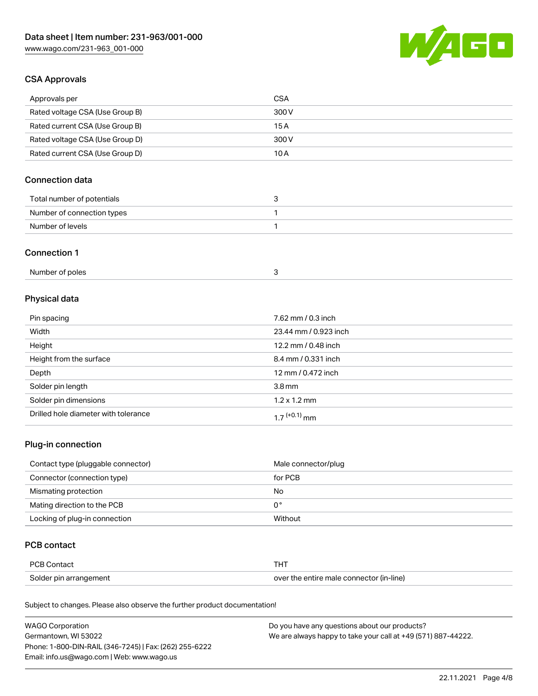

# CSA Approvals

| Approvals per                   | CSA   |
|---------------------------------|-------|
| Rated voltage CSA (Use Group B) | 300 V |
| Rated current CSA (Use Group B) | 15 A  |
| Rated voltage CSA (Use Group D) | 300 V |
| Rated current CSA (Use Group D) | 10 A  |

# Connection data

| Total number of potentials |  |
|----------------------------|--|
| Number of connection types |  |
| Number of levels           |  |

### Connection 1

# Physical data

| Pin spacing                          | 7.62 mm / 0.3 inch    |
|--------------------------------------|-----------------------|
| Width                                | 23.44 mm / 0.923 inch |
| Height                               | 12.2 mm / 0.48 inch   |
| Height from the surface              | 8.4 mm / 0.331 inch   |
| Depth                                | 12 mm / 0.472 inch    |
| Solder pin length                    | 3.8 <sub>mm</sub>     |
| Solder pin dimensions                | $1.2 \times 1.2$ mm   |
| Drilled hole diameter with tolerance | $17^{(+0.1)}$ mm      |

# Plug-in connection

| Contact type (pluggable connector) | Male connector/plug |
|------------------------------------|---------------------|
| Connector (connection type)        | for PCB             |
| Mismating protection               | No                  |
| Mating direction to the PCB        | 0°                  |
| Locking of plug-in connection      | Without             |

## PCB contact

| <b>PCB Contact</b>     |                                          |
|------------------------|------------------------------------------|
| Solder pin arrangement | over the entire male connector (in-line) |

Subject to changes. Please also observe the further product documentation!

| <b>WAGO Corporation</b>                                | Do you have any questions about our products?                 |
|--------------------------------------------------------|---------------------------------------------------------------|
| Germantown, WI 53022                                   | We are always happy to take your call at +49 (571) 887-44222. |
| Phone: 1-800-DIN-RAIL (346-7245)   Fax: (262) 255-6222 |                                                               |
| Email: info.us@wago.com   Web: www.wago.us             |                                                               |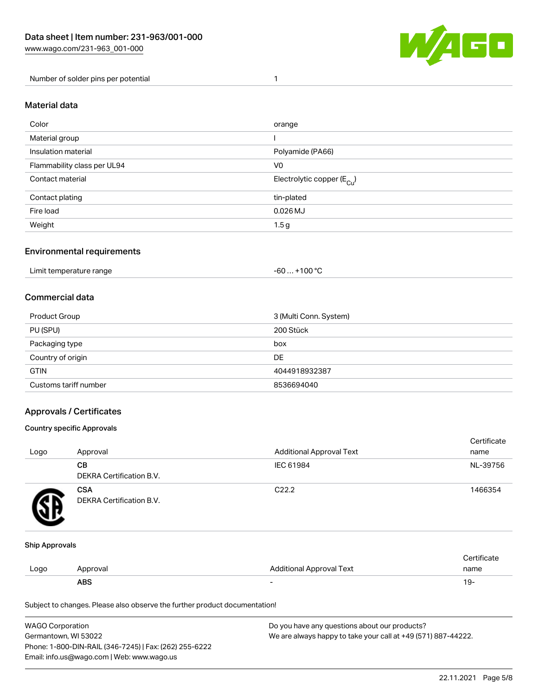

Number of solder pins per potential 1

#### Material data

| Color                       | orange                                 |
|-----------------------------|----------------------------------------|
| Material group              |                                        |
| Insulation material         | Polyamide (PA66)                       |
| Flammability class per UL94 | V <sub>0</sub>                         |
| Contact material            | Electrolytic copper (E <sub>Cu</sub> ) |
| Contact plating             | tin-plated                             |
| Fire load                   | $0.026$ MJ                             |
| Weight                      | 1.5 <sub>g</sub>                       |

## Environmental requirements

Limit temperature range  $-60... +100$  °C

## Commercial data

| Product Group         | 3 (Multi Conn. System) |
|-----------------------|------------------------|
| PU (SPU)              | 200 Stück              |
| Packaging type        | box                    |
| Country of origin     | DE                     |
| <b>GTIN</b>           | 4044918932387          |
| Customs tariff number | 8536694040             |

## Approvals / Certificates

### Country specific Approvals

| Logo | Approval                               | <b>Additional Approval Text</b> | Certificate<br>name |
|------|----------------------------------------|---------------------------------|---------------------|
|      | CВ<br><b>DEKRA Certification B.V.</b>  | IEC 61984                       | NL-39756            |
|      | <b>CSA</b><br>DEKRA Certification B.V. | C <sub>22.2</sub>               | 1466354             |

#### Ship Approvals

|      | ABS      | -                        | ιУ۰         |
|------|----------|--------------------------|-------------|
| Logo | Approval | Additional Approval Text | name        |
|      |          |                          | ∵ertificate |

Subject to changes. Please also observe the further product documentation!

| WAGO Corporation                                       | Do you have any questions about our products?                 |
|--------------------------------------------------------|---------------------------------------------------------------|
| Germantown, WI 53022                                   | We are always happy to take your call at +49 (571) 887-44222. |
| Phone: 1-800-DIN-RAIL (346-7245)   Fax: (262) 255-6222 |                                                               |
| Email: info.us@wago.com   Web: www.wago.us             |                                                               |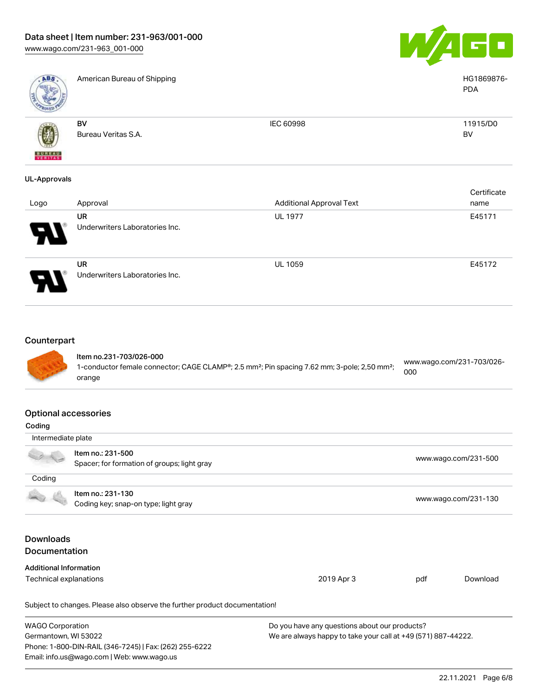

Phone: 1-800-DIN-RAIL (346-7245) | Fax: (262) 255-6222

Email: info.us@wago.com | Web: www.wago.us



| ABS                                             | American Bureau of Shipping                                                                                                                               |                                                                                                                |     | HG1869876-<br><b>PDA</b>  |
|-------------------------------------------------|-----------------------------------------------------------------------------------------------------------------------------------------------------------|----------------------------------------------------------------------------------------------------------------|-----|---------------------------|
|                                                 | <b>BV</b>                                                                                                                                                 | IEC 60998                                                                                                      |     | 11915/D0                  |
|                                                 | Bureau Veritas S.A.                                                                                                                                       |                                                                                                                |     | <b>BV</b>                 |
| <b>UL-Approvals</b>                             |                                                                                                                                                           |                                                                                                                |     |                           |
| Logo                                            | Approval                                                                                                                                                  | <b>Additional Approval Text</b>                                                                                |     | Certificate<br>name       |
|                                                 | <b>UR</b><br>Underwriters Laboratories Inc.                                                                                                               | <b>UL 1977</b>                                                                                                 |     | E45171                    |
|                                                 | <b>UR</b><br>Underwriters Laboratories Inc.                                                                                                               | <b>UL 1059</b>                                                                                                 |     | E45172                    |
| Counterpart                                     | Item no.231-703/026-000<br>1-conductor female connector; CAGE CLAMP®; 2.5 mm <sup>2</sup> ; Pin spacing 7.62 mm; 3-pole; 2,50 mm <sup>2</sup> ;<br>orange |                                                                                                                | 000 | www.wago.com/231-703/026- |
| <b>Optional accessories</b><br>Coding           |                                                                                                                                                           |                                                                                                                |     |                           |
| Intermediate plate                              |                                                                                                                                                           |                                                                                                                |     |                           |
|                                                 | Item no.: 231-500<br>Spacer; for formation of groups; light gray                                                                                          |                                                                                                                |     | www.wago.com/231-500      |
| Coding                                          |                                                                                                                                                           |                                                                                                                |     |                           |
|                                                 | Item no.: 231-130<br>Coding key; snap-on type; light gray                                                                                                 |                                                                                                                |     | www.wago.com/231-130      |
| <b>Downloads</b><br>Documentation               |                                                                                                                                                           |                                                                                                                |     |                           |
| <b>Additional Information</b>                   |                                                                                                                                                           |                                                                                                                |     |                           |
| Technical explanations                          |                                                                                                                                                           | 2019 Apr 3                                                                                                     | pdf | Download                  |
|                                                 | Subject to changes. Please also observe the further product documentation!                                                                                |                                                                                                                |     |                           |
| <b>WAGO Corporation</b><br>Germantown, WI 53022 |                                                                                                                                                           | Do you have any questions about our products?<br>We are always happy to take your call at +49 (571) 887-44222. |     |                           |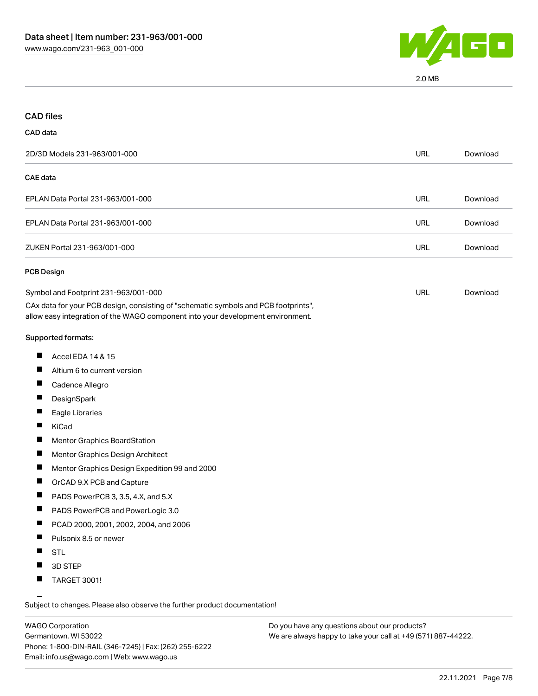

2.0 MB

| <b>CAD files</b>                                                                                                                                                                                               |            |          |
|----------------------------------------------------------------------------------------------------------------------------------------------------------------------------------------------------------------|------------|----------|
| CAD data                                                                                                                                                                                                       |            |          |
| 2D/3D Models 231-963/001-000                                                                                                                                                                                   | <b>URL</b> | Download |
| <b>CAE</b> data                                                                                                                                                                                                |            |          |
| EPLAN Data Portal 231-963/001-000                                                                                                                                                                              | <b>URL</b> | Download |
| EPLAN Data Portal 231-963/001-000                                                                                                                                                                              | <b>URL</b> | Download |
| ZUKEN Portal 231-963/001-000                                                                                                                                                                                   | URL        | Download |
| <b>PCB Design</b>                                                                                                                                                                                              |            |          |
| Symbol and Footprint 231-963/001-000<br>CAx data for your PCB design, consisting of "schematic symbols and PCB footprints",<br>allow easy integration of the WAGO component into your development environment. | URL        | Download |
| Supported formats:                                                                                                                                                                                             |            |          |
| ш<br>Accel EDA 14 & 15                                                                                                                                                                                         |            |          |
| ш<br>Altium 6 to current version                                                                                                                                                                               |            |          |
| Cadence Allegro                                                                                                                                                                                                |            |          |
| ш<br>DesignSpark                                                                                                                                                                                               |            |          |
| ш<br>Eagle Libraries                                                                                                                                                                                           |            |          |
| П<br>KiCad                                                                                                                                                                                                     |            |          |
| ш<br>Mentor Graphics BoardStation                                                                                                                                                                              |            |          |
| ш<br>Mentor Graphics Design Architect                                                                                                                                                                          |            |          |
| a ka<br>Mentor Graphics Design Expedition 99 and 2000                                                                                                                                                          |            |          |
| ш<br>OrCAD 9.X PCB and Capture                                                                                                                                                                                 |            |          |
| ш<br>PADS PowerPCB 3, 3.5, 4.X, and 5.X                                                                                                                                                                        |            |          |
| PADS PowerPCB and PowerLogic 3.0<br>ш                                                                                                                                                                          |            |          |
| PCAD 2000, 2001, 2002, 2004, and 2006                                                                                                                                                                          |            |          |
| ш<br>Pulsonix 8.5 or newer                                                                                                                                                                                     |            |          |
| ш<br><b>STL</b>                                                                                                                                                                                                |            |          |
| Ш<br>3D STEP                                                                                                                                                                                                   |            |          |
| <b>TARGET 3001!</b><br>ш                                                                                                                                                                                       |            |          |

Subject to changes. Please also observe the further product documentation!

WAGO Corporation Germantown, WI 53022 Phone: 1-800-DIN-RAIL (346-7245) | Fax: (262) 255-6222 Email: info.us@wago.com | Web: www.wago.us